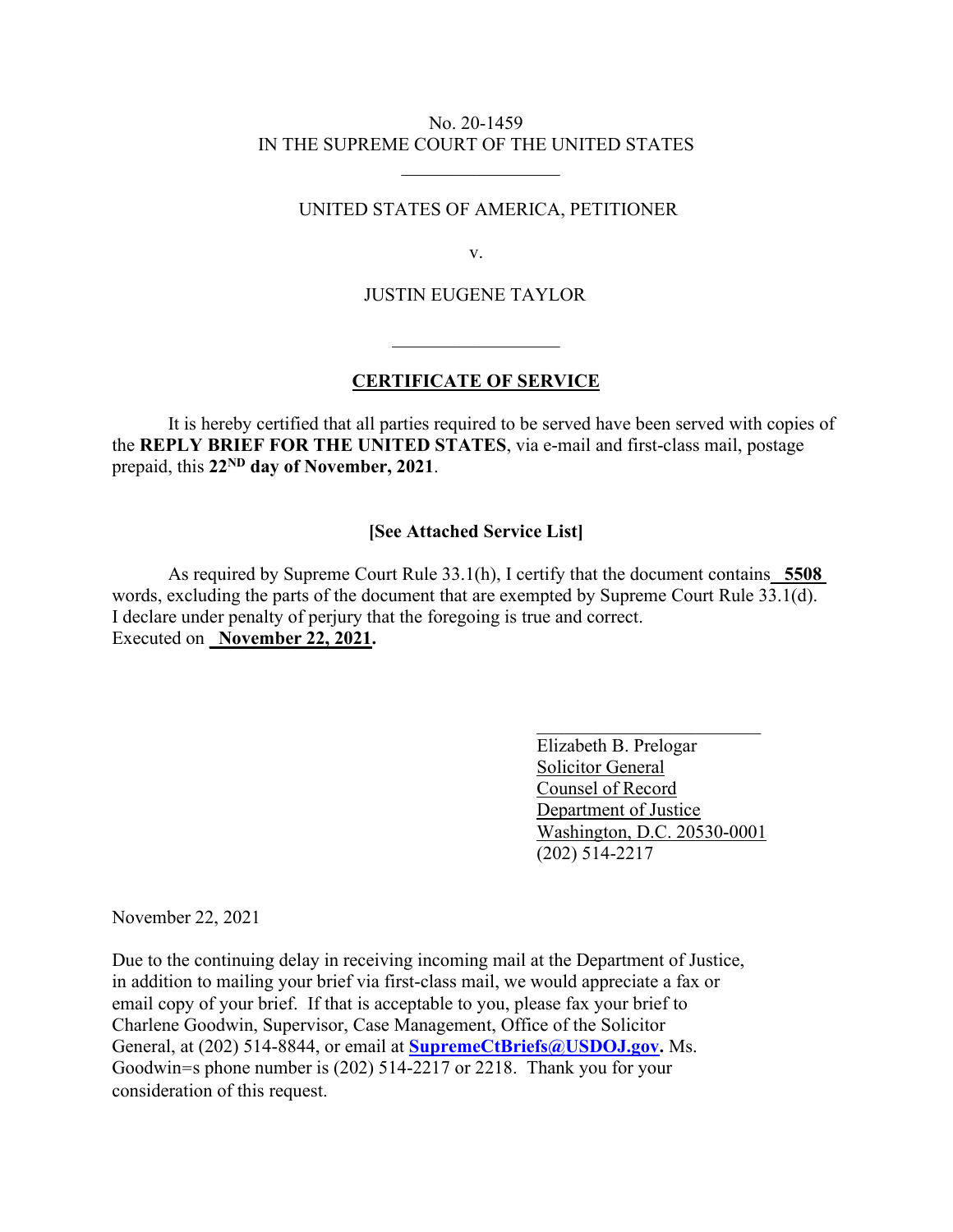### No. 20-1459 IN THE SUPREME COURT OF THE UNITED STATES

### UNITED STATES OF AMERICA, PETITIONER

v.

# JUSTIN EUGENE TAYLOR

 $\mathcal{L}_\text{max}$  and  $\mathcal{L}_\text{max}$  and  $\mathcal{L}_\text{max}$  and  $\mathcal{L}_\text{max}$  and  $\mathcal{L}_\text{max}$ 

## **CERTIFICATE OF SERVICE**

It is hereby certified that all parties required to be served have been served with copies of the **REPLY BRIEF FOR THE UNITED STATES**, via e-mail and first-class mail, postage prepaid, this **22ND day of November, 2021**.

### **[See Attached Service List]**

As required by Supreme Court Rule 33.1(h), I certify that the document contains\_ **5508**  words, excluding the parts of the document that are exempted by Supreme Court Rule 33.1(d). I declare under penalty of perjury that the foregoing is true and correct. Executed on **November 22, 2021.** 

 $\mathcal{L}_\text{max}$  , which is a set of the set of the set of the set of the set of the set of the set of the set of the set of the set of the set of the set of the set of the set of the set of the set of the set of the set of

 Elizabeth B. Prelogar Solicitor General Counsel of Record Department of Justice Washington, D.C. 20530-0001 (202) 514-2217

November 22, 2021

Due to the continuing delay in receiving incoming mail at the Department of Justice, in addition to mailing your brief via first-class mail, we would appreciate a fax or email copy of your brief. If that is acceptable to you, please fax your brief to Charlene Goodwin, Supervisor, Case Management, Office of the Solicitor General, at (202) 514-8844, or email at **SupremeCtBriefs@USDOJ.gov.** Ms. Goodwin=s phone number is (202) 514-2217 or 2218. Thank you for your consideration of this request.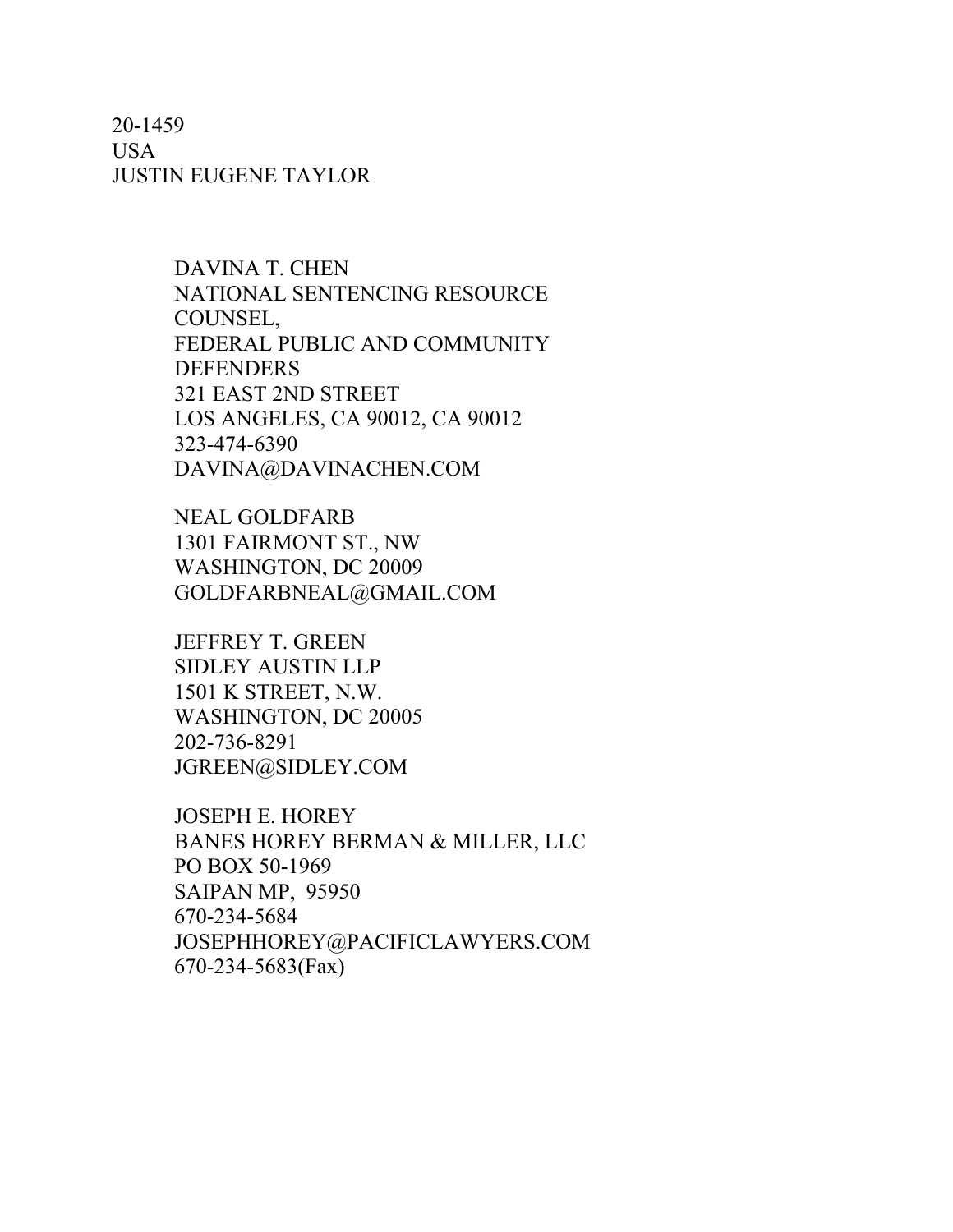20-1459 USA JUSTIN EUGENE TAYLOR

> DAVINA T. CHEN NATIONAL SENTENCING RESOURCE COUNSEL, FEDERAL PUBLIC AND COMMUNITY **DEFENDERS** 321 EAST 2ND STREET LOS ANGELES, CA 90012, CA 90012 323-474-6390 DAVINA@DAVINACHEN.COM

NEAL GOLDFARB 1301 FAIRMONT ST., NW WASHINGTON, DC 20009 GOLDFARBNEAL@GMAIL.COM

JEFFREY T. GREEN SIDLEY AUSTIN LLP 1501 K STREET, N.W. WASHINGTON, DC 20005 202-736-8291 JGREEN@SIDLEY.COM

JOSEPH E. HOREY BANES HOREY BERMAN & MILLER, LLC PO BOX 50-1969 SAIPAN MP, 95950 670-234-5684 JOSEPHHOREY@PACIFICLAWYERS.COM 670-234-5683(Fax)